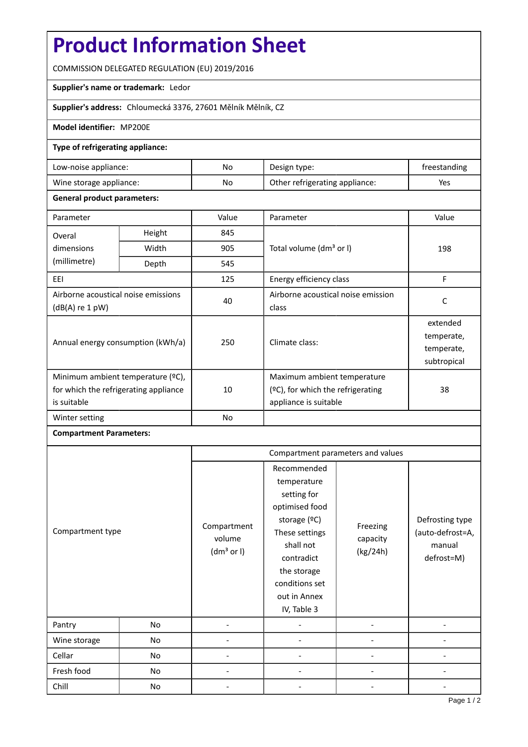# **Product Information Sheet**

COMMISSION DELEGATED REGULATION (EU) 2019/2016

### **Supplier's name or trademark:** Ledor

**Supplier's address:** Chloumecká 3376, 27601 Mělník Mělník, CZ

### **Model identifier:** MP200E

#### **Type of refrigerating appliance:**

| Low-noise appliance:    | No. | Design type:                   | freestanding |
|-------------------------|-----|--------------------------------|--------------|
| Wine storage appliance: | No  | Other refrigerating appliance: | Yes          |

#### **General product parameters:**

| Parameter                                                                                 |        | Value                          | Parameter                                                                                    | Value                                               |
|-------------------------------------------------------------------------------------------|--------|--------------------------------|----------------------------------------------------------------------------------------------|-----------------------------------------------------|
| Overal                                                                                    | Height | 845                            |                                                                                              | 198                                                 |
| dimensions                                                                                | Width  | 905                            | Total volume (dm <sup>3</sup> or I)                                                          |                                                     |
| (millimetre)                                                                              | Depth  | 545                            |                                                                                              |                                                     |
| EEI                                                                                       |        | 125<br>Energy efficiency class |                                                                                              | F                                                   |
| Airborne acoustical noise emissions<br>(dB(A) re 1 pW)                                    |        | 40                             | Airborne acoustical noise emission<br>class                                                  | C                                                   |
| Annual energy consumption (kWh/a)                                                         |        | 250                            | Climate class:                                                                               | extended<br>temperate,<br>temperate,<br>subtropical |
| Minimum ambient temperature (°C),<br>for which the refrigerating appliance<br>is suitable |        | 10                             | Maximum ambient temperature<br>$(2C)$ , for which the refrigerating<br>appliance is suitable | 38                                                  |
| Winter setting                                                                            |        | N <sub>o</sub>                 |                                                                                              |                                                     |

## **Compartment Parameters:**

|                  |    | Compartment parameters and values               |                                                                                                                                                                                          |                                  |                                                             |
|------------------|----|-------------------------------------------------|------------------------------------------------------------------------------------------------------------------------------------------------------------------------------------------|----------------------------------|-------------------------------------------------------------|
| Compartment type |    | Compartment<br>volume<br>(dm <sup>3</sup> or I) | Recommended<br>temperature<br>setting for<br>optimised food<br>storage (ºC)<br>These settings<br>shall not<br>contradict<br>the storage<br>conditions set<br>out in Annex<br>IV, Table 3 | Freezing<br>capacity<br>(kg/24h) | Defrosting type<br>(auto-defrost=A,<br>manual<br>defrost=M) |
| Pantry           | No |                                                 |                                                                                                                                                                                          |                                  |                                                             |
| Wine storage     | No |                                                 |                                                                                                                                                                                          |                                  |                                                             |
| Cellar           | No |                                                 |                                                                                                                                                                                          |                                  |                                                             |
| Fresh food       | No |                                                 |                                                                                                                                                                                          |                                  |                                                             |
| Chill            | No |                                                 |                                                                                                                                                                                          |                                  |                                                             |